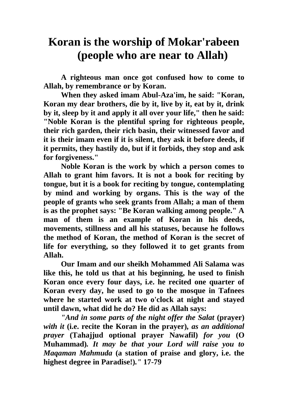## **Koran is the worship of Mokar'rabeen (people who are near to Allah)**

**A righteous man once got confused how to come to Allah, by remembrance or by Koran.**

**When they asked imam Abul-Aza'im, he said: "Koran, Koran my dear brothers, die by it, live by it, eat by it, drink by it, sleep by it and apply it all over your life," then he said: "Noble Koran is the plentiful spring for righteous people, their rich garden, their rich basin, their witnessed favor and it is their imam even if it is silent, they ask it before deeds, if it permits, they hastily do, but if it forbids, they stop and ask for forgiveness."**

**Noble Koran is the work by which a person comes to Allah to grant him favors. It is not a book for reciting by tongue, but it is a book for reciting by tongue, contemplating by mind and working by organs. This is the way of the people of grants who seek grants from Allah; a man of them is as the prophet says: "Be Koran walking among people." A man of them is an example of Koran in his deeds, movements, stillness and all his statuses, because he follows the method of Koran, the method of Koran is the secret of life for everything, so they followed it to get grants from Allah.**

**Our Imam and our sheikh Mohammed Ali Salama was like this, he told us that at his beginning, he used to finish Koran once every four days, i.e. he recited one quarter of Koran every day, he used to go to the mosque in Tafnees where he started work at two o'clock at night and stayed until dawn, what did he do? He did as Allah says:**

*"And in some parts of the night offer the Salat (prayer) with it* **(i.e. recite the Koran in the prayer)***, as an additional prayer* **(Tahajjud optional prayer Nawafil)** *for you* **(O Muhammad)***. It may be that your Lord will raise you to Maqaman Mahmuda* **(a station of praise and glory, i.e. the highest degree in Paradise!)***."* **17-79**